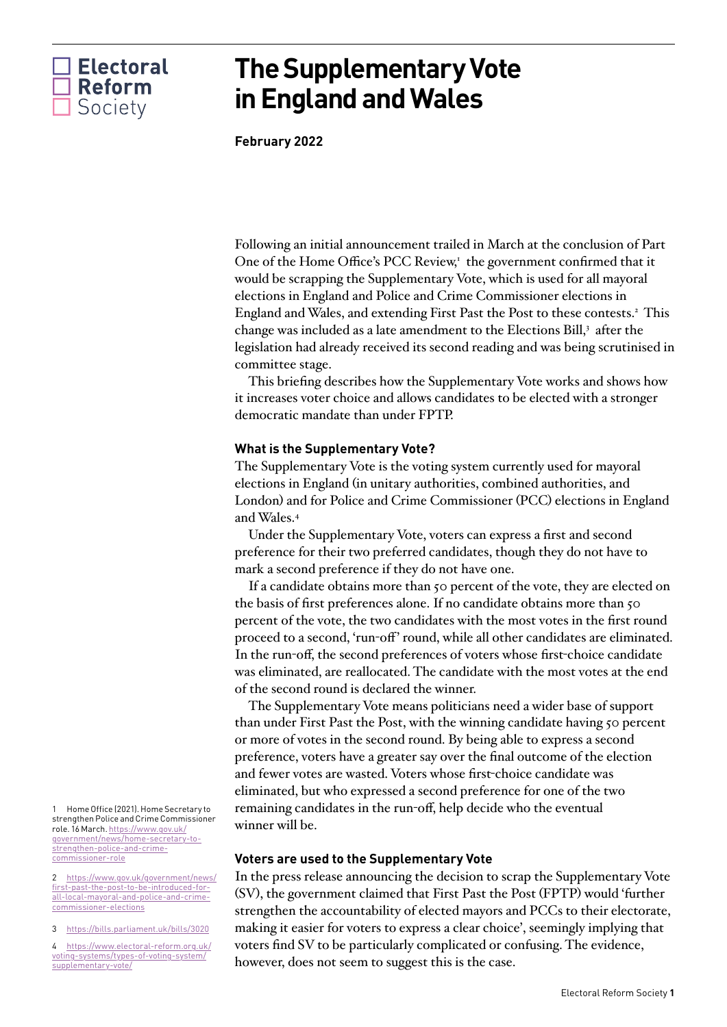

# **The Supplementary Vote in England and Wales**

**February 2022**

Following an initial announcement trailed in March at the conclusion of Part One of the Home Office's PCC Review,<sup>[1](#page-0-0)</sup> the government confirmed that it would be scrapping the Supplementary Vote, which is used for all mayoral elections in England and Police and Crime Commissioner elections in England and Wales, and extending First Past the Post to these contests.[2](#page-0-1) This change was included as a late amendment to the Elections Bill, $^3$  $^3$  after the legislation had already received its second reading and was being scrutinised in committee stage.

This briefing describes how the Supplementary Vote works and shows how it increases voter choice and allows candidates to be elected with a stronger democratic mandate than under FPTP.

# **What is the Supplementary Vote?**

The Supplementary Vote is the voting system currently used for mayoral elections in England (in unitary authorities, combined authorities, and London) and for Police and Crime Commissioner (PCC) elections in England and Wales.[4](#page-0-3)

Under the Supplementary Vote, voters can express a first and second preference for their two preferred candidates, though they do not have to mark a second preference if they do not have one.

If a candidate obtains more than 50 percent of the vote, they are elected on the basis of first preferences alone. If no candidate obtains more than 50 percent of the vote, the two candidates with the most votes in the first round proceed to a second, 'run-off' round, while all other candidates are eliminated. In the run-off, the second preferences of voters whose first-choice candidate was eliminated, are reallocated. The candidate with the most votes at the end of the second round is declared the winner.

The Supplementary Vote means politicians need a wider base of support than under First Past the Post, with the winning candidate having 50 percent or more of votes in the second round. By being able to express a second preference, voters have a greater say over the final outcome of the election and fewer votes are wasted. Voters whose first-choice candidate was eliminated, but who expressed a second preference for one of the two remaining candidates in the run-off, help decide who the eventual winner will be.

# **Voters are used to the Supplementary Vote**

In the press release announcing the decision to scrap the Supplementary Vote (SV), the government claimed that First Past the Post (FPTP) would 'further strengthen the accountability of elected mayors and PCCs to their electorate, making it easier for voters to express a clear choice', seemingly implying that voters find SV to be particularly complicated or confusing. The evidence, however, does not seem to suggest this is the case.

<span id="page-0-0"></span>1 Home Office (2021). Home Secretary to strengthen Police and Crime Commissioner role. 16 March. [https://www.gov.uk/](https://www.gov.uk/government/news/home-secretary-to-strengthen-police-and-crime-commissioner-role) [government/news/home-secretary-to](https://www.gov.uk/government/news/home-secretary-to-strengthen-police-and-crime-commissioner-role)[strengthen-police-and-crime](https://www.gov.uk/government/news/home-secretary-to-strengthen-police-and-crime-commissioner-role)[commissioner-role](https://www.gov.uk/government/news/home-secretary-to-strengthen-police-and-crime-commissioner-role)

<span id="page-0-1"></span>2 [https://www.gov.uk/government/news/](https://www.gov.uk/government/news/first-past-the-post-to-be-introduced-for-all-local-mayoral-and-police-and-crime-commissioner-elections) [first-past-the-post-to-be-introduced-for](https://www.gov.uk/government/news/first-past-the-post-to-be-introduced-for-all-local-mayoral-and-police-and-crime-commissioner-elections)[all-local-mayoral-and-police-and-crime](https://www.gov.uk/government/news/first-past-the-post-to-be-introduced-for-all-local-mayoral-and-police-and-crime-commissioner-elections)[commissioner-elections](https://www.gov.uk/government/news/first-past-the-post-to-be-introduced-for-all-local-mayoral-and-police-and-crime-commissioner-elections)

<span id="page-0-2"></span>3 <https://bills.parliament.uk/bills/3020>

<span id="page-0-3"></span>4 [https://www.electoral-reform.org.uk/](https://www.electoral-reform.org.uk/voting-systems/types-of-voting-system/supplementary-vote/) [voting-systems/types-of-voting-system/](https://www.electoral-reform.org.uk/voting-systems/types-of-voting-system/supplementary-vote/) [supplementary-vote/](https://www.electoral-reform.org.uk/voting-systems/types-of-voting-system/supplementary-vote/)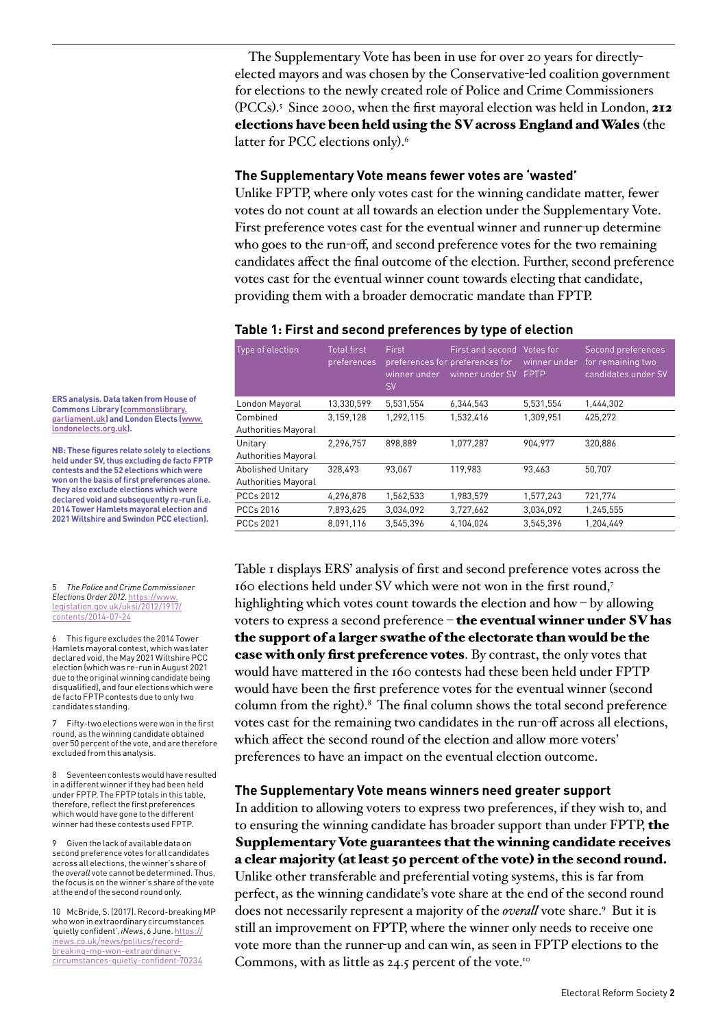The Supplementary Vote has been in use for over 20 years for directlyelected mayors and was chosen by the Conservative-led coalition government for elections to the newly created role of Police and Crime Commissioners (PCCs).<sup>[5](#page-1-0)</sup> Since 2000, when the first mayoral election was held in London,  $212$ elections have been held using the SV across England and Wales (the latter for PCC elections only).<sup>[6](#page-1-1)</sup>

## **The Supplementary Vote means fewer votes are 'wasted'**

Unlike FPTP, where only votes cast for the winning candidate matter, fewer votes do not count at all towards an election under the Supplementary Vote. First preference votes cast for the eventual winner and runner-up determine who goes to the run-off, and second preference votes for the two remaining candidates affect the final outcome of the election. Further, second preference votes cast for the eventual winner count towards electing that candidate, providing them with a broader democratic mandate than FPTP.

## **Table 1: First and second preferences by type of election**

| Type of election           | <b>Total first</b><br>preferences | <b>First</b><br>winner under<br><b>SV</b> | First and second Votes for<br>preferences for preferences for<br>winner under SV | winner under<br>FPTP | Second preferences<br>for remaining two<br>candidates under SV |
|----------------------------|-----------------------------------|-------------------------------------------|----------------------------------------------------------------------------------|----------------------|----------------------------------------------------------------|
| London Mayoral             | 13,330,599                        | 5.531.554                                 | 6,344,543                                                                        | 5,531,554            | 1.444.302                                                      |
| Combined                   | 3,159,128                         | 1.292.115                                 | 1,532,416                                                                        | 1.309.951            | 425.272                                                        |
| <b>Authorities Mayoral</b> |                                   |                                           |                                                                                  |                      |                                                                |
| Unitary                    | 2.296.757                         | 898.889                                   | 1.077.287                                                                        | 904.977              | 320.886                                                        |
| <b>Authorities Mayoral</b> |                                   |                                           |                                                                                  |                      |                                                                |
| <b>Abolished Unitary</b>   | 328.493                           | 93.067                                    | 119,983                                                                          | 93.463               | 50.707                                                         |
| <b>Authorities Mayoral</b> |                                   |                                           |                                                                                  |                      |                                                                |
| <b>PCCs 2012</b>           | 4,296,878                         | 1,562,533                                 | 1,983,579                                                                        | 1,577,243            | 721,774                                                        |
| PCCs 2016                  | 7,893,625                         | 3,034,092                                 | 3,727,662                                                                        | 3,034,092            | 1,245,555                                                      |
| <b>PCCs 2021</b>           | 8.091.116                         | 3.545.396                                 | 4.104.024                                                                        | 3.545.396            | 1.204.449                                                      |

Table 1 displays ERS' analysis of first and second preference votes across the 160 elections held under SV which were not won in the first round,[7](#page-1-2) highlighting which votes count towards the election and how – by allowing voters to express a second preference – the eventual winner under SV has the support of a larger swathe of the electorate than would be the case with only first preference votes. By contrast, the only votes that would have mattered in the 160 contests had these been held under FPTP would have been the first preference votes for the eventual winner (second column from the right).[8](#page-1-3) The final column shows the total second preference votes cast for the remaining two candidates in the run-off across all elections, which affect the second round of the election and allow more voters' preferences to have an impact on the eventual election outcome.

## **The Supplementary Vote means winners need greater support**

In addition to allowing voters to express two preferences, if they wish to, and to ensuring the winning candidate has broader support than under FPTP, the Supplementary Vote guarantees that the winning candidate receives a clear majority (at least 50 percent of the vote) in the second round. Unlike other transferable and preferential voting systems, this is far from perfect, as the winning candidate's vote share at the end of the second round does not necessarily represent a majority of the *overall* vote share.[9](#page-1-4) But it is still an improvement on FPTP, where the winner only needs to receive one vote more than the runner-up and can win, as seen in FPTP elections to the Commons, with as little as  $24.5$  percent of the vote.<sup>[10](#page-1-5)</sup>

**ERS analysis. Data taken from House of Commons Library ([commonslibrary.](http://commonslibrary.parliament.uk) [parliament.uk](http://commonslibrary.parliament.uk)) and London Elects [\(www.](http://www.londonelects.org.uk) [londonelects.org.uk](http://www.londonelects.org.uk)).** 

**NB: These figures relate solely to elections held under SV, thus excluding de facto FPTP contests and the 52 elections which were won on the basis of first preferences alone. They also exclude elections which were declared void and subsequently re-run (i.e. 2014 Tower Hamlets mayoral election and 2021 Wiltshire and Swindon PCC election).**

#### <span id="page-1-0"></span>5 *The Police and Crime Commissioner Elections Order 2012*. [https://www.](https://www.legislation.gov.uk/uksi/2012/1917/contents/2014-07-24) [legislation.gov.uk/uksi/2012/1917/](https://www.legislation.gov.uk/uksi/2012/1917/contents/2014-07-24) [contents/2014-07-24](https://www.legislation.gov.uk/uksi/2012/1917/contents/2014-07-24)

<span id="page-1-1"></span>6 This figure excludes the 2014 Tower Hamlets mayoral contest, which was later declared void, the May 2021 Wiltshire PCC election (which was re-run in August 2021 due to the original winning candidate being disqualified), and four elections which were de facto FPTP contests due to only two candidates standing.

<span id="page-1-2"></span>7 Fifty-two elections were won in the first round, as the winning candidate obtained over 50 percent of the vote, and are therefore excluded from this analysis.

<span id="page-1-3"></span>8 Seventeen contests would have resulted in a different winner if they had been held under FPTP. The FPTP totals in this table, therefore, reflect the first preferences which would have gone to the different winner had these contests used FPTP.

<span id="page-1-4"></span>9 Given the lack of available data on second preference votes for all candidates across all elections, the winner's share of the *overall* vote cannot be determined. Thus, the focus is on the winner's share of the vote at the end of the second round only.

<span id="page-1-5"></span>10 McBride, S. (2017). Record-breaking MP who won in extraordinary circumstances 'quietly confident'. *iNews*, 6 June. [https://](https://inews.co.uk/news/politics/record-breaking-mp-won-extraordinary-circumstances-quietly-confident-70234) [inews.co.uk/news/politics/record](https://inews.co.uk/news/politics/record-breaking-mp-won-extraordinary-circumstances-quietly-confident-70234)[breaking-mp-won-extraordinary](https://inews.co.uk/news/politics/record-breaking-mp-won-extraordinary-circumstances-quietly-confident-70234)[circumstances-quietly-confident-70234](https://inews.co.uk/news/politics/record-breaking-mp-won-extraordinary-circumstances-quietly-confident-70234)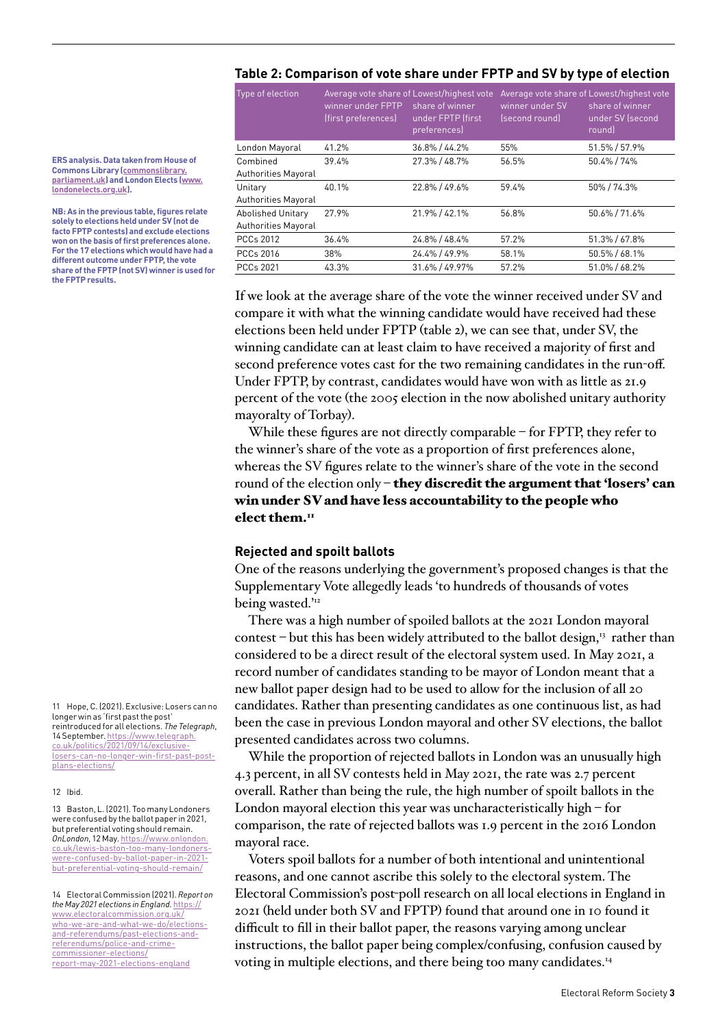# **Table 2: Comparison of vote share under FPTP and SV by type of election**

| Type of election           | winner under FPTP<br>(first preferences) | Average vote share of Lowest/highest vote<br>share of winner<br>under FPTP (first<br>preferences) | winner under SV<br>(second round) | Average vote share of Lowest/highest vote<br>share of winner<br>under SV (second<br>roundl |
|----------------------------|------------------------------------------|---------------------------------------------------------------------------------------------------|-----------------------------------|--------------------------------------------------------------------------------------------|
| London Mayoral             | 41.2%                                    | $36.8\% / 44.2\%$                                                                                 | 55%                               | 51.5% / 57.9%                                                                              |
| Combined                   | 39.4%                                    | 27.3% / 48.7%                                                                                     | 56.5%                             | 50.4% / 74%                                                                                |
| <b>Authorities Mayoral</b> |                                          |                                                                                                   |                                   |                                                                                            |
| Unitary                    | 40.1%                                    | 22.8% / 49.6%                                                                                     | 59.4%                             | 50%/74.3%                                                                                  |
| <b>Authorities Mayoral</b> |                                          |                                                                                                   |                                   |                                                                                            |
| <b>Abolished Unitary</b>   | 27.9%                                    | 21.9% / 42.1%                                                                                     | 56.8%                             | 50.6% / 71.6%                                                                              |
| <b>Authorities Mayoral</b> |                                          |                                                                                                   |                                   |                                                                                            |
| PCCs 2012                  | 36.4%                                    | 24.8% / 48.4%                                                                                     | 57.2%                             | 51.3% / 67.8%                                                                              |
| PCCs 2016                  | 38%                                      | 24.4% / 49.9%                                                                                     | 58.1%                             | 50.5% / 68.1%                                                                              |
| PCCs 2021                  | 43.3%                                    | 31.6% / 49.97%                                                                                    | 57.2%                             | 51.0% / 68.2%                                                                              |

If we look at the average share of the vote the winner received under SV and compare it with what the winning candidate would have received had these elections been held under FPTP (table 2), we can see that, under SV, the winning candidate can at least claim to have received a majority of first and second preference votes cast for the two remaining candidates in the run-off. Under FPTP, by contrast, candidates would have won with as little as 21.9 percent of the vote (the 2005 election in the now abolished unitary authority mayoralty of Torbay).

While these figures are not directly comparable – for FPTP, they refer to the winner's share of the vote as a proportion of first preferences alone, whereas the SV figures relate to the winner's share of the vote in the second round of the election only  $-$  they discredit the argument that 'losers' can win under SV and have less accountability to the people who elect them. $<sup>11</sup>$  $<sup>11</sup>$  $<sup>11</sup>$ </sup>

# **Rejected and spoilt ballots**

One of the reasons underlying the government's proposed changes is that the Supplementary Vote allegedly leads 'to hundreds of thousands of votes being wasted.'<sup>[12](#page-2-1)</sup>

There was a high number of spoiled ballots at the 2021 London mayoral contest – but this has been widely attributed to the ballot design, $13$  rather than considered to be a direct result of the electoral system used. In May 2021, a record number of candidates standing to be mayor of London meant that a new ballot paper design had to be used to allow for the inclusion of all 20 candidates. Rather than presenting candidates as one continuous list, as had been the case in previous London mayoral and other SV elections, the ballot presented candidates across two columns.

While the proportion of rejected ballots in London was an unusually high 4.3 percent, in all SV contests held in May 2021, the rate was 2.7 percent overall. Rather than being the rule, the high number of spoilt ballots in the London mayoral election this year was uncharacteristically high – for comparison, the rate of rejected ballots was 1.9 percent in the 2016 London mayoral race.

Voters spoil ballots for a number of both intentional and unintentional reasons, and one cannot ascribe this solely to the electoral system. The Electoral Commission's post-poll research on all local elections in England in 2021 (held under both SV and FPTP) found that around one in 10 found it difficult to fill in their ballot paper, the reasons varying among unclear instructions, the ballot paper being complex/confusing, confusion caused by voting in multiple elections, and there being too many candidates.[14](#page-2-3)

**ERS analysis. Data taken from House of Commons Library ([commonslibrary.](http://commonslibrary.parliament.uk) [parliament.uk](http://commonslibrary.parliament.uk)) and London Elects [\(www.](http://www.londonelects.org.uk) [londonelects.org.uk](http://www.londonelects.org.uk)).** 

**NB: As in the previous table, figures relate solely to elections held under SV (not de facto FPTP contests) and exclude elections won on the basis of first preferences alone. For the 17 elections which would have had a different outcome under FPTP, the vote share of the FPTP (not SV) winner is used for the FPTP results.**

<span id="page-2-0"></span>11 Hone C. (2021). Exclusive: Losers can no longer win as 'first past the post' reintroduced for all elections. *The Telegraph*, 14 September. [https://www.telegraph.](https://www.telegraph.co.uk/politics/2021/09/14/exclusive-losers-can-no-longer-win-first-past-post-plans-elections/) [co.uk/politics/2021/09/14/exclusive](https://www.telegraph.co.uk/politics/2021/09/14/exclusive-losers-can-no-longer-win-first-past-post-plans-elections/)[losers-can-no-longer-win-first-past-post](https://www.telegraph.co.uk/politics/2021/09/14/exclusive-losers-can-no-longer-win-first-past-post-plans-elections/)[plans-elections/](https://www.telegraph.co.uk/politics/2021/09/14/exclusive-losers-can-no-longer-win-first-past-post-plans-elections/)

### <span id="page-2-1"></span>12 Ibid.

<span id="page-2-2"></span>13 Baston, L. (2021). Too many Londoners were confused by the ballot paper in 2021, but preferential voting should remain. *OnLondon*, 12 May. [https://www.onlondon.](https://www.onlondon.co.uk/lewis-baston-too-many-londoners-were-confused-by-ballot-paper-in-2021-but-preferential-voting-should-remain/) [co.uk/lewis-baston-too-many-londoners](https://www.onlondon.co.uk/lewis-baston-too-many-londoners-were-confused-by-ballot-paper-in-2021-but-preferential-voting-should-remain/)[were-confused-by-ballot-paper-in-2021](https://www.onlondon.co.uk/lewis-baston-too-many-londoners-were-confused-by-ballot-paper-in-2021-but-preferential-voting-should-remain/) [but-preferential-voting-should-remain/](https://www.onlondon.co.uk/lewis-baston-too-many-londoners-were-confused-by-ballot-paper-in-2021-but-preferential-voting-should-remain/)

<span id="page-2-3"></span>14 Electoral Commission (2021). *Report on the May 2021 elections in England.* [https://](https://www.electoralcommission.org.uk/who-we-are-and-what-we-do/elections-and-referendums/past-elections-and-referendums/police-and-crime-commissioner-elections/report-may-2021-elections-england) [www.electoralcommission.org.uk/](https://www.electoralcommission.org.uk/who-we-are-and-what-we-do/elections-and-referendums/past-elections-and-referendums/police-and-crime-commissioner-elections/report-may-2021-elections-england) [who-we-are-and-what-we-do/elections](https://www.electoralcommission.org.uk/who-we-are-and-what-we-do/elections-and-referendums/past-elections-and-referendums/police-and-crime-commissioner-elections/report-may-2021-elections-england)[and-referendums/past-elections-and](https://www.electoralcommission.org.uk/who-we-are-and-what-we-do/elections-and-referendums/past-elections-and-referendums/police-and-crime-commissioner-elections/report-may-2021-elections-england)[referendums/police-and-crime](https://www.electoralcommission.org.uk/who-we-are-and-what-we-do/elections-and-referendums/past-elections-and-referendums/police-and-crime-commissioner-elections/report-may-2021-elections-england)[commissioner-elections/](https://www.electoralcommission.org.uk/who-we-are-and-what-we-do/elections-and-referendums/past-elections-and-referendums/police-and-crime-commissioner-elections/report-may-2021-elections-england) [report-may-2021-elections-england](https://www.electoralcommission.org.uk/who-we-are-and-what-we-do/elections-and-referendums/past-elections-and-referendums/police-and-crime-commissioner-elections/report-may-2021-elections-england)